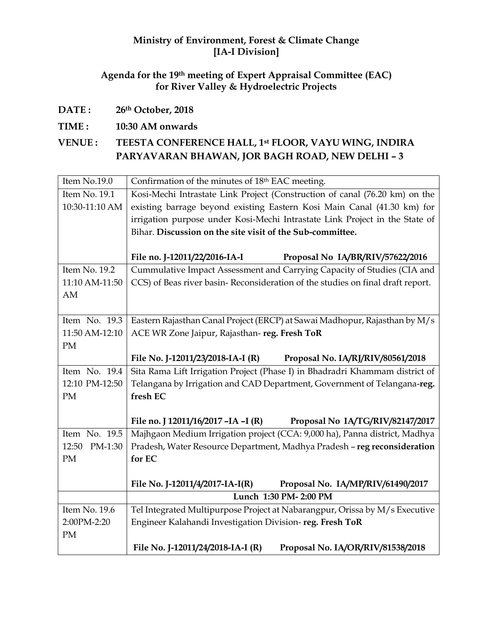### **Ministry of Environment, Forest & Climate Change [IA-I Division]**

## **Agenda for the 19th meeting of Expert Appraisal Committee (EAC) for River Valley & Hydroelectric Projects**

**DATE : 26th October, 2018**

### **TIME : 10:30 AM onwards**

## **VENUE : TEESTA CONFERENCE HALL, 1st FLOOR, VAYU WING, INDIRA PARYAVARAN BHAWAN, JOR BAGH ROAD, NEW DELHI – 3**

| Item No.19.0   | Confirmation of the minutes of 18th EAC meeting.                               |  |  |  |
|----------------|--------------------------------------------------------------------------------|--|--|--|
| Item No. 19.1  | Kosi-Mechi Intrastate Link Project (Construction of canal (76.20 km) on the    |  |  |  |
| 10:30-11:10 AM | existing barrage beyond existing Eastern Kosi Main Canal (41.30 km) for        |  |  |  |
|                | irrigation purpose under Kosi-Mechi Intrastate Link Project in the State of    |  |  |  |
|                | Bihar. Discussion on the site visit of the Sub-committee.                      |  |  |  |
|                |                                                                                |  |  |  |
|                | File no. J-12011/22/2016-IA-I<br>Proposal No IA/BR/RIV/57622/2016              |  |  |  |
| Item No. 19.2  | Cummulative Impact Assessment and Carrying Capacity of Studies (CIA and        |  |  |  |
| 11:10 AM-11:50 | CCS) of Beas river basin-Reconsideration of the studies on final draft report. |  |  |  |
| AM             |                                                                                |  |  |  |
|                |                                                                                |  |  |  |
| Item No. 19.3  | Eastern Rajasthan Canal Project (ERCP) at Sawai Madhopur, Rajasthan by M/s     |  |  |  |
| 11:50 AM-12:10 | ACE WR Zone Jaipur, Rajasthan-reg. Fresh ToR                                   |  |  |  |
| PM             |                                                                                |  |  |  |
|                | File No. J-12011/23/2018-IA-I (R)<br>Proposal No. IA/RJ/RIV/80561/2018         |  |  |  |
| Item No. 19.4  | Sita Rama Lift Irrigation Project (Phase I) in Bhadradri Khammam district of   |  |  |  |
| 12:10 PM-12:50 | Telangana by Irrigation and CAD Department, Government of Telangana-reg.       |  |  |  |
| PM             | fresh EC                                                                       |  |  |  |
|                |                                                                                |  |  |  |
|                | File no. J 12011/16/2017 - IA - I (R)<br>Proposal No IA/TG/RIV/82147/2017      |  |  |  |
| Item No. 19.5  | Majhgaon Medium Irrigation project (CCA: 9,000 ha), Panna district, Madhya     |  |  |  |
| 12:50 PM-1:30  | Pradesh, Water Resource Department, Madhya Pradesh - reg reconsideration       |  |  |  |
| PM             | for EC                                                                         |  |  |  |
|                |                                                                                |  |  |  |
|                | File No. J-12011/4/2017-IA-I(R)<br>Proposal No. IA/MP/RIV/61490/2017           |  |  |  |
|                | Lunch 1:30 PM-2:00 PM                                                          |  |  |  |
| Item No. 19.6  | Tel Integrated Multipurpose Project at Nabarangpur, Orissa by M/s Executive    |  |  |  |
| 2:00PM-2:20    | Engineer Kalahandi Investigation Division-reg. Fresh ToR                       |  |  |  |
| PM             |                                                                                |  |  |  |
|                | File No. J-12011/24/2018-IA-I (R)<br>Proposal No. IA/OR/RIV/81538/2018         |  |  |  |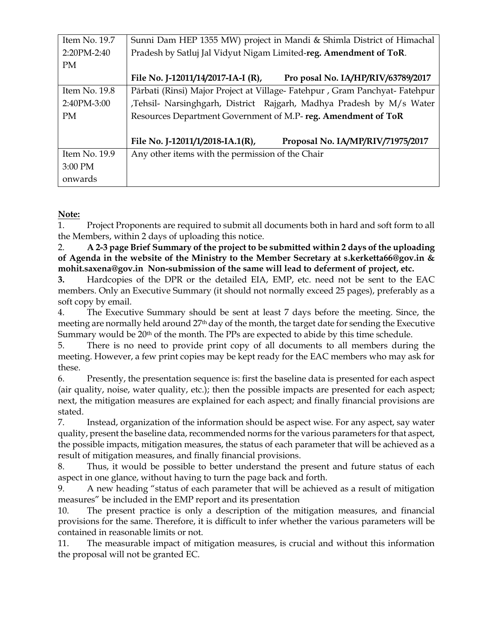| Item No. 19.7   | Sunni Dam HEP 1355 MW) project in Mandi & Shimla District of Himachal     |  |  |
|-----------------|---------------------------------------------------------------------------|--|--|
| 2:20PM-2:40     | Pradesh by Satluj Jal Vidyut Nigam Limited-reg. Amendment of ToR.         |  |  |
| <b>PM</b>       |                                                                           |  |  |
|                 | File No. J-12011/14/2017-IA-I (R),<br>Pro posal No. IA/HP/RIV/63789/2017  |  |  |
| Item No. $19.8$ | Pārbati (Rinsi) Major Project at Village-Fatehpur, Gram Panchyat-Fatehpur |  |  |
| 2:40PM-3:00     | ,Tehsil- Narsinghgarh, District Rajgarh, Madhya Pradesh by M/s Water      |  |  |
| <b>PM</b>       | Resources Department Government of M.P-reg. Amendment of ToR              |  |  |
|                 |                                                                           |  |  |
|                 | File No. J-12011/1/2018-IA.1(R),<br>Proposal No. IA/MP/RIV/71975/2017     |  |  |
| Item No. 19.9   | Any other items with the permission of the Chair                          |  |  |
| 3:00 PM         |                                                                           |  |  |
| onwards         |                                                                           |  |  |

**Note:** 

1. Project Proponents are required to submit all documents both in hard and soft form to all the Members, within 2 days of uploading this notice.

2. **A 2-3 page Brief Summary of the project to be submitted within 2 days of the uploading of Agenda in the website of the Ministry to the Member Secretary at s.kerketta66@gov.in & mohit.saxena@gov.in Non-submission of the same will lead to deferment of project, etc.** 

**3.** Hardcopies of the DPR or the detailed EIA, EMP, etc. need not be sent to the EAC members. Only an Executive Summary (it should not normally exceed 25 pages), preferably as a soft copy by email.

4. The Executive Summary should be sent at least 7 days before the meeting. Since, the meeting are normally held around 27th day of the month, the target date for sending the Executive Summary would be 20<sup>th</sup> of the month. The PPs are expected to abide by this time schedule.

5. There is no need to provide print copy of all documents to all members during the meeting. However, a few print copies may be kept ready for the EAC members who may ask for these.

6. Presently, the presentation sequence is: first the baseline data is presented for each aspect (air quality, noise, water quality, etc.); then the possible impacts are presented for each aspect; next, the mitigation measures are explained for each aspect; and finally financial provisions are stated.

7. Instead, organization of the information should be aspect wise. For any aspect, say water quality, present the baseline data, recommended norms for the various parameters for that aspect, the possible impacts, mitigation measures, the status of each parameter that will be achieved as a result of mitigation measures, and finally financial provisions.

8. Thus, it would be possible to better understand the present and future status of each aspect in one glance, without having to turn the page back and forth.

9. A new heading "status of each parameter that will be achieved as a result of mitigation measures" be included in the EMP report and its presentation

10. The present practice is only a description of the mitigation measures, and financial provisions for the same. Therefore, it is difficult to infer whether the various parameters will be contained in reasonable limits or not.

11. The measurable impact of mitigation measures, is crucial and without this information the proposal will not be granted EC.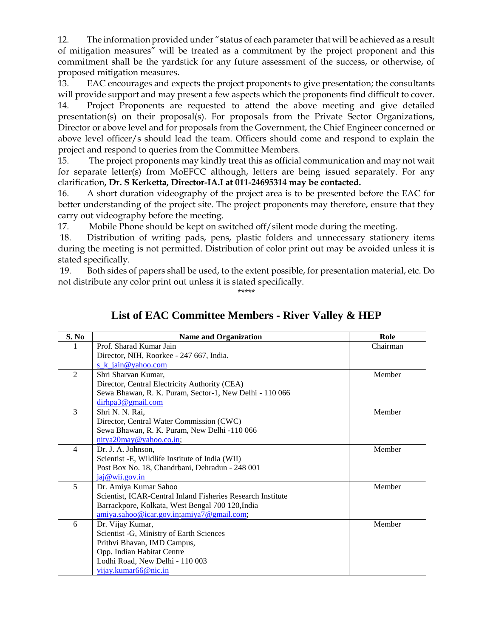12. The information provided under "status of each parameter that will be achieved as a result of mitigation measures" will be treated as a commitment by the project proponent and this commitment shall be the yardstick for any future assessment of the success, or otherwise, of proposed mitigation measures.

13. EAC encourages and expects the project proponents to give presentation; the consultants will provide support and may present a few aspects which the proponents find difficult to cover. 14. Project Proponents are requested to attend the above meeting and give detailed presentation(s) on their proposal(s). For proposals from the Private Sector Organizations, Director or above level and for proposals from the Government, the Chief Engineer concerned or above level officer/s should lead the team. Officers should come and respond to explain the

project and respond to queries from the Committee Members. 15. The project proponents may kindly treat this as official communication and may not wait for separate letter(s) from MoEFCC although, letters are being issued separately. For any

#### clarification**, Dr. S Kerketta, Director-IA.I at 011-24695314 may be contacted.**

16. A short duration videography of the project area is to be presented before the EAC for better understanding of the project site. The project proponents may therefore, ensure that they carry out videography before the meeting.

17. Mobile Phone should be kept on switched off/silent mode during the meeting.

18. Distribution of writing pads, pens, plastic folders and unnecessary stationery items during the meeting is not permitted. Distribution of color print out may be avoided unless it is stated specifically.

19. Both sides of papers shall be used, to the extent possible, for presentation material, etc. Do not distribute any color print out unless it is stated specifically.

\*\*\*\*\*

| S. No          | <b>Name and Organization</b>                                | Role     |
|----------------|-------------------------------------------------------------|----------|
|                | Prof. Sharad Kumar Jain                                     | Chairman |
|                | Director, NIH, Roorkee - 247 667, India.                    |          |
|                | s $k$ jain@yahoo.com                                        |          |
| 2              | Shri Sharvan Kumar,                                         | Member   |
|                | Director, Central Electricity Authority (CEA)               |          |
|                | Sewa Bhawan, R. K. Puram, Sector-1, New Delhi - 110 066     |          |
|                | dirhpa3@gmail.com                                           |          |
| 3              | Shri N. N. Rai,                                             | Member   |
|                | Director, Central Water Commission (CWC)                    |          |
|                | Sewa Bhawan, R. K. Puram, New Delhi -110 066                |          |
|                | nitya20may@yahoo.co.in;                                     |          |
| $\overline{4}$ | Dr. J. A. Johnson,                                          | Member   |
|                | Scientist - E, Wildlife Institute of India (WII)            |          |
|                | Post Box No. 18, Chandrbani, Dehradun - 248 001             |          |
|                | jaj@wii.gov.in                                              |          |
| 5              | Dr. Amiya Kumar Sahoo                                       | Member   |
|                | Scientist, ICAR-Central Inland Fisheries Research Institute |          |
|                | Barrackpore, Kolkata, West Bengal 700 120, India            |          |
|                | amiya.sahoo@icar.gov.in;amiya7@gmail.com;                   |          |
| 6              | Dr. Vijay Kumar,                                            | Member   |
|                | Scientist -G, Ministry of Earth Sciences                    |          |
|                | Prithvi Bhavan, IMD Campus,                                 |          |
|                | Opp. Indian Habitat Centre                                  |          |
|                | Lodhi Road, New Delhi - 110 003                             |          |
|                | vijay.kumar66@nic.in                                        |          |

# **List of EAC Committee Members - River Valley & HEP**